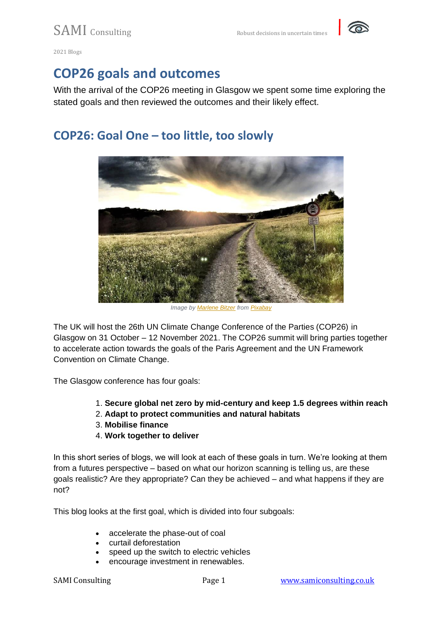

## **COP26 goals and outcomes**

With the arrival of the COP26 meeting in Glasgow we spent some time exploring the stated goals and then reviewed the outcomes and their likely effect.

### **COP26: Goal One – too little, too slowly**



*Image by [Marlene Bitzer](https://pixabay.com/users/marlenebitzer-1031903/?utm_source=link-attribution&utm_medium=referral&utm_campaign=image&utm_content=820298) from [Pixabay](https://pixabay.com/?utm_source=link-attribution&utm_medium=referral&utm_campaign=image&utm_content=820298)*

The UK will host the 26th UN Climate Change Conference of the Parties (COP26) in Glasgow on 31 October – 12 November 2021. The COP26 summit will bring parties together to accelerate action towards the goals of the Paris Agreement and the UN Framework Convention on Climate Change.

The Glasgow conference has four goals:

- 1. **Secure global net zero by mid-century and keep 1.5 degrees within reach**
- 2. **Adapt to protect communities and natural habitats**
- 3. **Mobilise finance**
- 4. **Work together to deliver**

In this short series of blogs, we will look at each of these goals in turn. We're looking at them from a futures perspective – based on what our horizon scanning is telling us, are these goals realistic? Are they appropriate? Can they be achieved – and what happens if they are not?

This blog looks at the first goal, which is divided into four subgoals:

- accelerate the phase-out of coal
- curtail deforestation
- speed up the switch to electric vehicles
- encourage investment in renewables.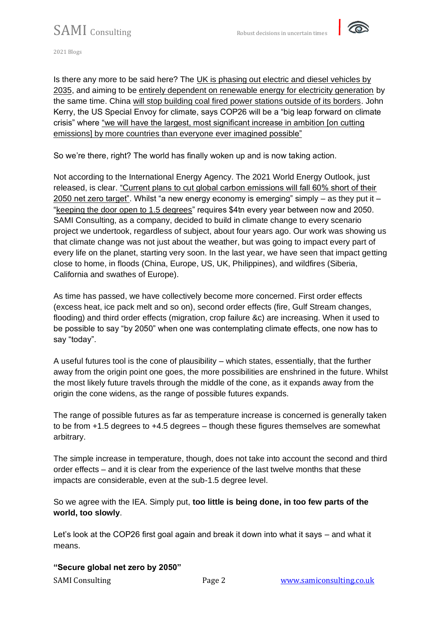

Is there any more to be said here? The [UK is phasing out electric and diesel vehicles by](https://www.ft.com/content/fb4d1d64-5d90-4e27-b77f-6e221bc02696)  [2035,](https://www.ft.com/content/fb4d1d64-5d90-4e27-b77f-6e221bc02696) and aiming to be [entirely dependent on renewable energy for electricity generation](https://www.bbc.com/news/uk-politics-58792261) by the same time. China [will stop building coal fired power stations outside of its borders.](https://www.nytimes.com/2021/09/22/world/asia/china-coal.html) John Kerry, the US Special Envoy for climate, says COP26 will be a "big leap forward on climate crisis" where ["we will have the largest, most significant increase in ambition \[on cutting](https://www.theguardian.com/environment/2021/oct/11/john-kerry-cop26-climate-summit-starting-line-rest-of-decade)  [emissions\] by more countries than everyone ever imagined possible"](https://www.theguardian.com/environment/2021/oct/11/john-kerry-cop26-climate-summit-starting-line-rest-of-decade)

So we're there, right? The world has finally woken up and is now taking action.

Not according to the International Energy Agency. The 2021 World Energy Outlook, just released, is clear. ["Current plans to cut global carbon emissions will fall 60% short of their](https://www.theguardian.com/environment/2021/oct/13/carbon-emissions-will-drop-just-40-by-2050-with-countries-current-pledges)  [2050 net zero target".](https://www.theguardian.com/environment/2021/oct/13/carbon-emissions-will-drop-just-40-by-2050-with-countries-current-pledges) Whilst "a new energy economy is emerging" simply – as they put it – ["keeping the door open to 1.5 degrees"](https://www.iea.org/reports/world-energy-outlook-2021) requires \$4tn every year between now and 2050. SAMI Consulting, as a company, decided to build in climate change to every scenario project we undertook, regardless of subject, about four years ago. Our work was showing us that climate change was not just about the weather, but was going to impact every part of every life on the planet, starting very soon. In the last year, we have seen that impact getting close to home, in floods (China, Europe, US, UK, Philippines), and wildfires (Siberia, California and swathes of Europe).

As time has passed, we have collectively become more concerned. First order effects (excess heat, ice pack melt and so on), second order effects (fire, Gulf Stream changes, flooding) and third order effects (migration, crop failure &c) are increasing. When it used to be possible to say "by 2050" when one was contemplating climate effects, one now has to say "today".

A useful futures tool is the cone of plausibility – which states, essentially, that the further away from the origin point one goes, the more possibilities are enshrined in the future. Whilst the most likely future travels through the middle of the cone, as it expands away from the origin the cone widens, as the range of possible futures expands.

The range of possible futures as far as temperature increase is concerned is generally taken to be from +1.5 degrees to +4.5 degrees – though these figures themselves are somewhat arbitrary.

The simple increase in temperature, though, does not take into account the second and third order effects – and it is clear from the experience of the last twelve months that these impacts are considerable, even at the sub-1.5 degree level.

So we agree with the IEA. Simply put, **too little is being done, in too few parts of the world, too slowly**.

Let's look at the COP26 first goal again and break it down into what it says – and what it means.

**"Secure global net zero by 2050"**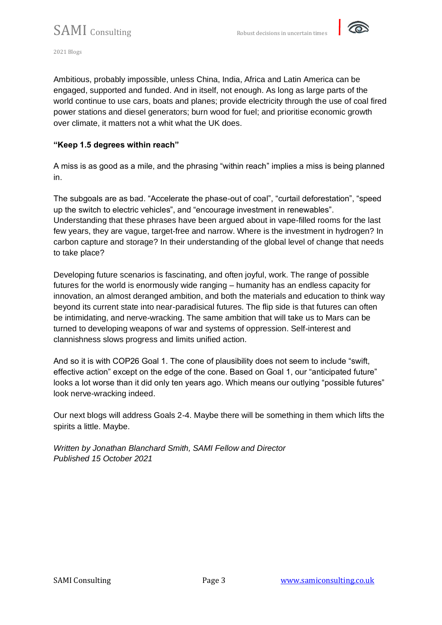

Ambitious, probably impossible, unless China, India, Africa and Latin America can be engaged, supported and funded. And in itself, not enough. As long as large parts of the world continue to use cars, boats and planes; provide electricity through the use of coal fired power stations and diesel generators; burn wood for fuel; and prioritise economic growth over climate, it matters not a whit what the UK does.

#### **"Keep 1.5 degrees within reach"**

A miss is as good as a mile, and the phrasing "within reach" implies a miss is being planned in.

The subgoals are as bad. "Accelerate the phase-out of coal", "curtail deforestation", "speed up the switch to electric vehicles", and "encourage investment in renewables". Understanding that these phrases have been argued about in vape-filled rooms for the last few years, they are vague, target-free and narrow. Where is the investment in hydrogen? In carbon capture and storage? In their understanding of the global level of change that needs to take place?

Developing future scenarios is fascinating, and often joyful, work. The range of possible futures for the world is enormously wide ranging – humanity has an endless capacity for innovation, an almost deranged ambition, and both the materials and education to think way beyond its current state into near-paradisical futures. The flip side is that futures can often be intimidating, and nerve-wracking. The same ambition that will take us to Mars can be turned to developing weapons of war and systems of oppression. Self-interest and clannishness slows progress and limits unified action.

And so it is with COP26 Goal 1. The cone of plausibility does not seem to include "swift, effective action" except on the edge of the cone. Based on Goal 1, our "anticipated future" looks a lot worse than it did only ten years ago. Which means our outlying "possible futures" look nerve-wracking indeed.

Our next blogs will address Goals 2-4. Maybe there will be something in them which lifts the spirits a little. Maybe.

*Written by Jonathan Blanchard Smith, SAMI Fellow and Director Published 15 October 2021*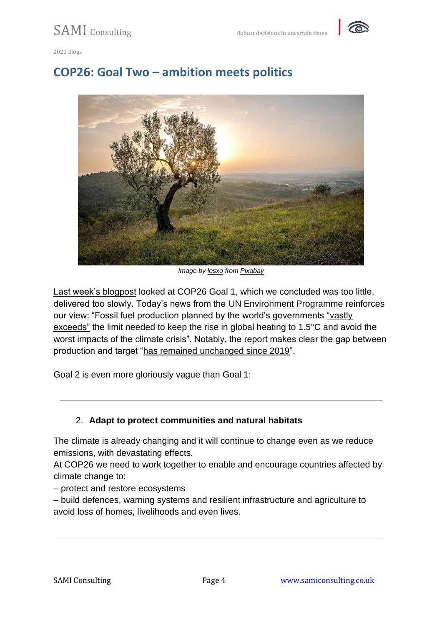



### **COP26: Goal Two – ambition meets politics**



*Image by [losxo](https://pixabay.com/users/losxo-631835/?utm_source=link-attribution&utm_medium=referral&utm_campaign=image&utm_content=559434) from [Pixabay](https://pixabay.com/?utm_source=link-attribution&utm_medium=referral&utm_campaign=image&utm_content=559434)*

[Last week's blogpost](https://samiconsulting.co.uk/cop26-goal-one-too-little-too-slowly/) looked at COP26 Goal 1, which we concluded was too little, delivered too slowly. Today's news from the [UN Environment Programme](https://productiongap.org/wp-content/uploads/2021/10/PGR2021_web.pdf) reinforces our view: "Fossil fuel production planned by the world's governments ["vastly](https://www.theguardian.com/environment/2021/oct/20/planned-fossil-fuel-output-vastly-exceeds-climate-limits-says-un)  [exceeds"](https://www.theguardian.com/environment/2021/oct/20/planned-fossil-fuel-output-vastly-exceeds-climate-limits-says-un) the limit needed to keep the rise in global heating to 1.5°C and avoid the worst impacts of the climate crisis". Notably, the report makes clear the gap between production and target ["has remained unchanged since 2019"](https://productiongap.org/2021report/).

Goal 2 is even more gloriously vague than Goal 1:

#### 2. **Adapt to protect communities and natural habitats**

The climate is already changing and it will continue to change even as we reduce emissions, with devastating effects.

At COP26 we need to work together to enable and encourage countries affected by climate change to:

– protect and restore ecosystems

– build defences, warning systems and resilient infrastructure and agriculture to avoid loss of homes, livelihoods and even lives.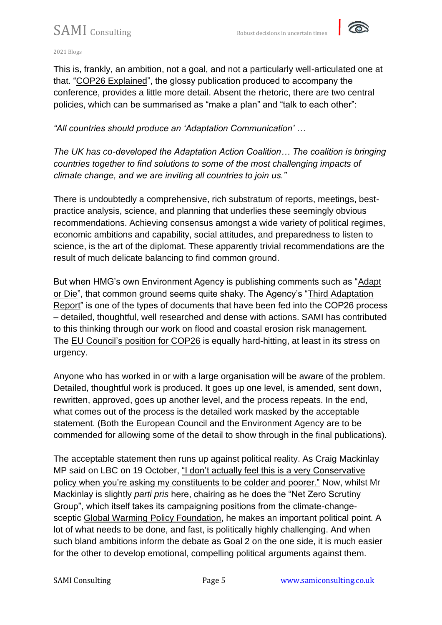

#### 2021 Blogs

This is, frankly, an ambition, not a goal, and not a particularly well-articulated one at that. ["COP26 Explained"](https://ukcop26.org/wp-content/uploads/2021/07/COP26-Explained.pdf), the glossy publication produced to accompany the conference, provides a little more detail. Absent the rhetoric, there are two central policies, which can be summarised as "make a plan" and "talk to each other":

*"All countries should produce an 'Adaptation Communication' …*

*The UK has co-developed the Adaptation Action Coalition… The coalition is bringing countries together to find solutions to some of the most challenging impacts of climate change, and we are inviting all countries to join us."*

There is undoubtedly a comprehensive, rich substratum of reports, meetings, bestpractice analysis, science, and planning that underlies these seemingly obvious recommendations. Achieving consensus amongst a wide variety of political regimes, economic ambitions and capability, social attitudes, and preparedness to listen to science, is the art of the diplomat. These apparently trivial recommendations are the result of much delicate balancing to find common ground.

But when HMG's own Environment Agency is publishing comments such as ["Adapt](https://www.gov.uk/government/news/adapt-or-die-says-environment-agency)  [or Die"](https://www.gov.uk/government/news/adapt-or-die-says-environment-agency), that common ground seems quite shaky. The Agency's ["Third Adaptation](https://www.gov.uk/government/publications/climate-adaptation-reporting-third-round-environment-agency)  [Report"](https://www.gov.uk/government/publications/climate-adaptation-reporting-third-round-environment-agency) is one of the types of documents that have been fed into the COP26 process – detailed, thoughtful, well researched and dense with actions. SAMI has contributed to this thinking through our work on flood and coastal erosion risk management. The [EU Council's position for COP26](https://data.consilium.europa.eu/doc/document/ST-12594-2021-INIT/en/pdf) is equally hard-hitting, at least in its stress on urgency.

Anyone who has worked in or with a large organisation will be aware of the problem. Detailed, thoughtful work is produced. It goes up one level, is amended, sent down, rewritten, approved, goes up another level, and the process repeats. In the end, what comes out of the process is the detailed work masked by the acceptable statement. (Both the European Council and the Environment Agency are to be commended for allowing some of the detail to show through in the final publications).

The acceptable statement then runs up against political reality. As Craig Mackinlay MP said on LBC on 19 October, "I don't actually feel this is a very Conservative [policy when you're asking my constituents to be colder and poorer."](https://www.lbc.co.uk/radio/presenters/iain-dale/governments-net-zero-plan-madness-hits-poorer-people/) Now, whilst Mr Mackinlay is slightly *parti pris* here, chairing as he does the "Net Zero Scrutiny Group", which itself takes its campaigning positions from the climate-changesceptic [Global Warming Policy Foundation,](https://www.thegwpf.org/) he makes an important political point. A lot of what needs to be done, and fast, is politically highly challenging. And when such bland ambitions inform the debate as Goal 2 on the one side, it is much easier for the other to develop emotional, compelling political arguments against them.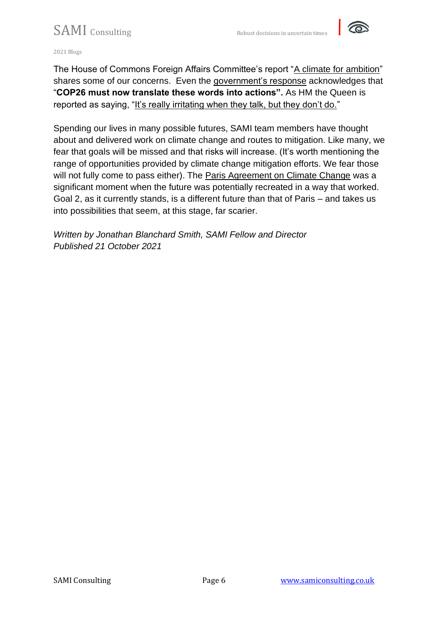

2021 Blogs

The House of Commons Foreign Affairs Committee's report ["A climate for ambition"](https://committees.parliament.uk/publications/5491/documents/54690/default/) shares some of our concerns. Even the [government's response](https://publications.parliament.uk/pa/cm5802/cmselect/cmfaff/440/44002.htm) acknowledges that "**COP26 must now translate these words into actions".** As HM the Queen is reported as saying, ["It's really irritating when they talk, but they don't do."](https://www.theguardian.com/uk-news/2021/oct/14/queen-irritated-by-world-leaders-talking-not-doing-on-climate-change)

Spending our lives in many possible futures, SAMI team members have thought about and delivered work on climate change and routes to mitigation. Like many, we fear that goals will be missed and that risks will increase. (It's worth mentioning the range of opportunities provided by climate change mitigation efforts. We fear those will not fully come to pass either). The [Paris Agreement on Climate Change](https://unfccc.int/process-and-meetings/the-paris-agreement/the-paris-agreement) was a significant moment when the future was potentially recreated in a way that worked. Goal 2, as it currently stands, is a different future than that of Paris – and takes us into possibilities that seem, at this stage, far scarier.

*Written by Jonathan Blanchard Smith, SAMI Fellow and Director Published 21 October 2021*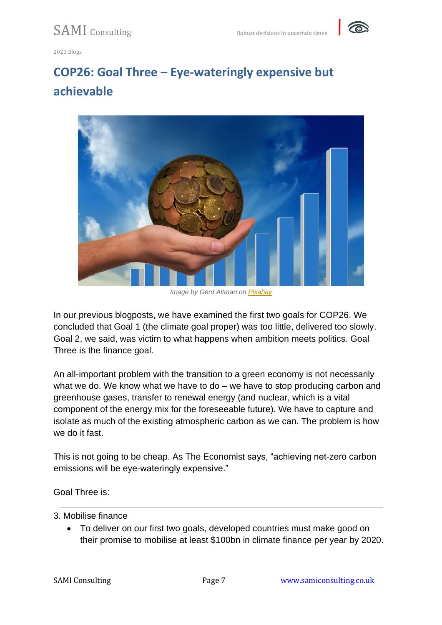

# **COP26: Goal Three – Eye-wateringly expensive but achievable**



*Image by Gerd Altman on [Pixabay](https://pixabay.com/)*

In our previous blogposts, we have examined the first two goals for COP26. We concluded that Goal 1 (the climate goal proper) was [too little, delivered too slowly.](https://samiconsulting.co.uk/cop26-goal-one-too-little-too-slowly/) Goal 2, we said, was victim to what happens when [ambition meets politics.](https://samiconsulting.co.uk/cop26-goal-two-ambition-meets-politics/) Goal Three is the finance goal.

An all-important problem with the transition to a green economy is not necessarily what we do. We know what we have to do – we have to stop producing carbon and greenhouse gases, transfer to renewal energy (and nuclear, which is a vital component of the energy mix for the foreseeable future). We have to capture and isolate as much of the existing atmospheric carbon as we can. The problem is how we do it fast.

This is not going to be cheap. As [The Economist](https://www.economist.com/britain/2021/07/17/achieving-net-zero-carbon-emissions-will-be-eye-wateringly-expensive) says, "achieving net-zero carbon emissions will be eye-wateringly expensive."

Goal Three is:

#### 3. Mobilise finance

• To deliver on our first two goals, developed countries must make good on their promise to mobilise at least \$100bn in climate finance per year by 2020.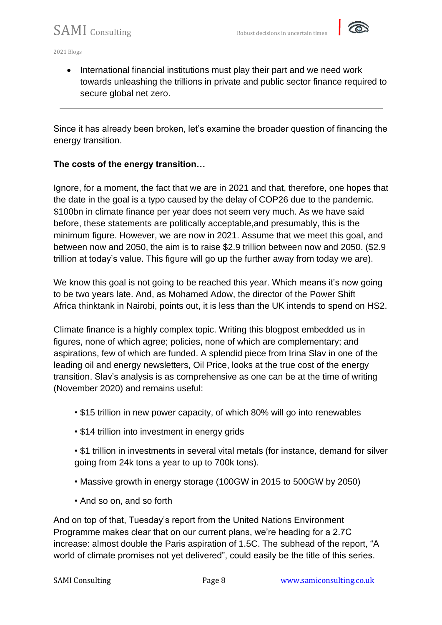

• International financial institutions must play their part and we need work towards unleashing the trillions in private and public sector finance required to secure global net zero.

Since it has already been broken, let's examine the broader question of financing the energy transition.

#### **The costs of the energy transition…**

Ignore, for a moment, the fact that we are in 2021 and that, therefore, one hopes that the date in the goal is a typo caused by the delay of COP26 due to the pandemic. \$100bn in climate finance per year does not seem very much. As we have said before, these statements are politically acceptable,and presumably, this is the minimum figure. However, we are now in 2021. Assume that we meet this goal, and between now and 2050, the aim is to raise \$2.9 trillion between now and 2050. (\$2.9 trillion at today's value. This figure will go up the further away from today we are).

We know this goal is [not going to be reached this year.](https://www.theguardian.com/environment/2021/oct/25/climate-finance-poor-countries-hit-100bn-target-by-2023-says-report) Which means it's now going to be two years late. And, as Mohamed Adow, the director of the [Power Shift](https://twitter.com/PowerShftAfrica/status/1452634628326662145)  [Africa](https://twitter.com/PowerShftAfrica/status/1452634628326662145) thinktank in Nairobi, points out, it is less than the UK intends to spend on HS2.

Climate finance is a highly complex topic. Writing this blogpost embedded us in figures, none of which agree; policies, none of which are complementary; and aspirations, few of which are funded. A splendid piece from Irina Slav in one of the leading [oil and energy](https://oilprice.com/) newsletters, Oil Price, looks at the [true cost of the energy](https://oilprice.com/Energy/Energy-General/The-True-Cost-Of-The-Global-Energy-Transition.html)  [transition.](https://oilprice.com/Energy/Energy-General/The-True-Cost-Of-The-Global-Energy-Transition.html) Slav's analysis is as comprehensive as one can be at the time of writing (November 2020) and remains useful:

- \$15 trillion in new power capacity, of which 80% will go into renewables
- \$14 trillion into investment in energy grids

• \$1 trillion in investments in several vital metals (for instance, demand for silver going from 24k tons a year to up to 700k tons).

- Massive growth in energy storage (100GW in 2015 to 500GW by 2050)
- And so on, and so forth

And on top of that, Tuesday's report from the [United Nations Environment](https://www.unep.org/)  [Programme](https://www.unep.org/) makes clear that on our current plans, we're heading for a 2.7C increase: almost double the Paris aspiration of 1.5C. The [subhead of the report,](https://www.unep.org/resources/emissions-gap-report-2021) "A world of climate promises not yet delivered", could easily be the title of this series.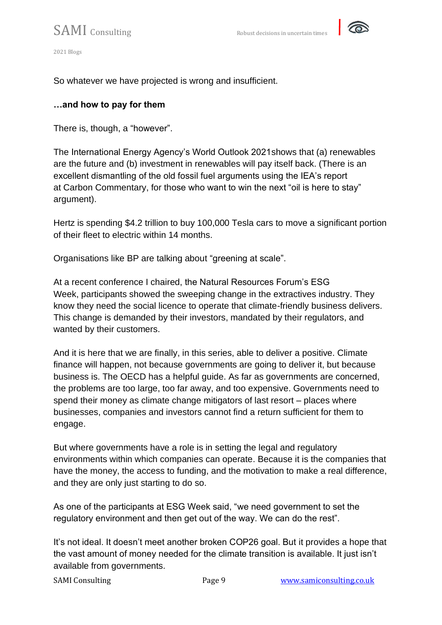

So whatever we have projected is wrong and insufficient.

### **…and how to pay for them**

There is, though, a "however".

The [International Energy Agency's World Outlook 2021s](https://www.iea.org/events/world-energy-outlook-2021-launch-event)hows that (a) renewables are the future and (b) investment in renewables will pay itself back. (There is an excellent dismantling of the old fossil fuel arguments using the IEA's report at [Carbon Commentary,](https://www.carboncommentary.com/blog/2021/10/13/the-iea-finally-starts-to-believe-in-the-energy-transition-a-note-from-kingsmill-bond) for those who want to win the next "oil is here to stay" argument).

Hertz is spending [\\$4.2 trillion to buy 100,000 Tesla cars](https://www.bloomberg.com/news/articles/2021-10-25/hertz-said-to-order-100-000-teslas-in-car-rental-market-shake-up) to move a significant portion of their fleet to electric within 14 months.

Organisations like BP are talking about ["greening at scale".](https://www.bp.com/en/global/corporate/news-and-insights/greening-companies.html?utm_source=google&utm_medium=cpc&utm_campaign=uk_greening_direct&utm_term=bp%20climate%20change&gclid=Cj0KCQjw8eOLBhC1ARIsAOzx5cELAqWs_iIipPzpuRId__IFLYb6ZvW2YSg_IHO1OWnztVD9s4YR_eUaApX7EALw_wcB)

At a recent conference I chaired, [the Natural Resources Forum's ESG](https://naturalresourcesforum.com/events/event/esg-challenges-2021/)  [Week,](https://naturalresourcesforum.com/events/event/esg-challenges-2021/) participants showed the sweeping change in the extractives industry. They know they need the social licence to operate that climate-friendly business delivers. This change is [demanded by their investors,](https://www.blackrock.com/us/individual/investment-ideas/sustainable-investing) [mandated by their regulators,](https://www.bloomberg.com/news/articles/2021-09-01/regulatory-scrutiny-of-esg-greenwashing-is-intensifying) and wanted by their customers.

And it is here that we are finally, in this series, able to deliver a positive. Climate finance will happen, not because governments are going to deliver it, but because business is. The OECD has a [helpful guide.](https://www.oecd.org/environment/cc/climate-futures/policy-highlights-financing-climate-futures.pdf) As far as governments are concerned, the problems are too large, too far away, and too expensive. Governments need to spend their money as climate change mitigators of last resort – places where businesses, companies and investors cannot find a return sufficient for them to engage.

But where governments have a role is in [setting the legal and regulatory](https://www.weforum.org/agenda/2019/09/will-the-energy-transition-happen-fast-enough-two-scenarios/)  [environments within which companies can operate.](https://www.weforum.org/agenda/2019/09/will-the-energy-transition-happen-fast-enough-two-scenarios/) Because it is the companies that have the money, the access to funding, and the motivation to make a real difference, and they are only just starting to do so.

As one of the participants at ESG Week said, "we need government to set the regulatory environment and then get out of the way. We can do the rest".

It's not ideal. It doesn't meet another broken COP26 goal. But it provides a hope that the vast amount of money needed for the climate transition is available. It just isn't available from governments.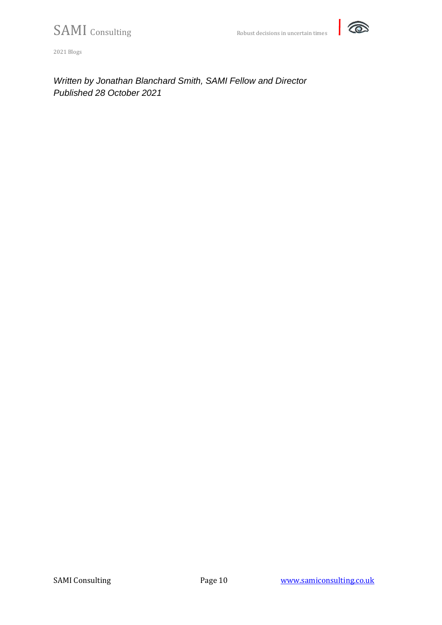

*Written by Jonathan Blanchard Smith, SAMI Fellow and Director Published 28 October 2021*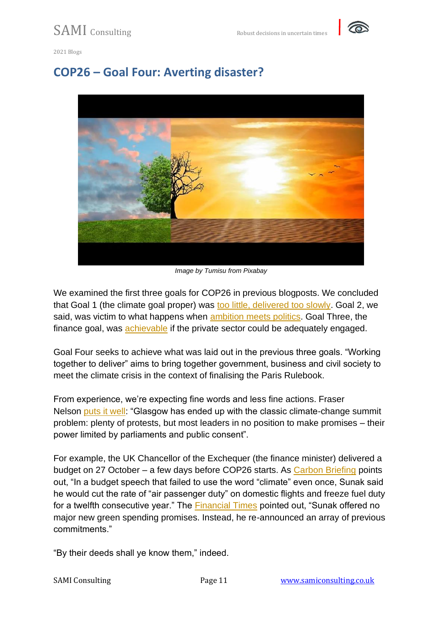

### **COP26 – Goal Four: Averting disaster?**



*Image by Tumisu from Pixabay*

We examined the first three goals for COP26 in previous blogposts. We concluded that Goal 1 (the climate goal proper) was [too little, delivered too slowly.](https://samiconsulting.co.uk/cop26-goal-one-too-little-too-slowly/) Goal 2, we said, was victim to what happens when [ambition meets politics.](https://samiconsulting.co.uk/cop26-goal-two-ambition-meets-politics/) Goal Three, the finance goal, was [achievable](https://samiconsulting.co.uk/cop26-goal-three-eye-wateringly-expensive-but-achievable/) if the private sector could be adequately engaged.

Goal Four seeks to achieve what was laid out in the previous three goals. "Working together to deliver" aims to bring together government, business and civil society to meet the climate crisis in the context of finalising the Paris Rulebook.

From experience, we're expecting fine words and less fine actions. Fraser Nelson [puts it well:](https://www.spectator.co.uk/article/cop-out-boriss-battle-to-save-the-climate-summit) "Glasgow has ended up with the classic climate-change summit problem: plenty of protests, but most leaders in no position to make promises – their power limited by parliaments and public consent".

For example, the UK Chancellor of the Exchequer (the finance minister) delivered a budget on 27 October – a few days before COP26 starts. As [Carbon Briefing](https://www.carbonbrief.org/autumn-budget-2021-key-climate-and-energy-announcements) points out, "In a budget speech that failed to use the word "climate" even once, Sunak said he would cut the rate of "air passenger duty" on domestic flights and freeze fuel duty for a twelfth consecutive year." The [Financial Times](https://www.ft.com/content/998ebb23-8dfb-49fb-91b7-821001d8e081) pointed out, "Sunak offered no major new green spending promises. Instead, he re-announced an array of previous commitments."

"By their deeds shall ye know them," indeed.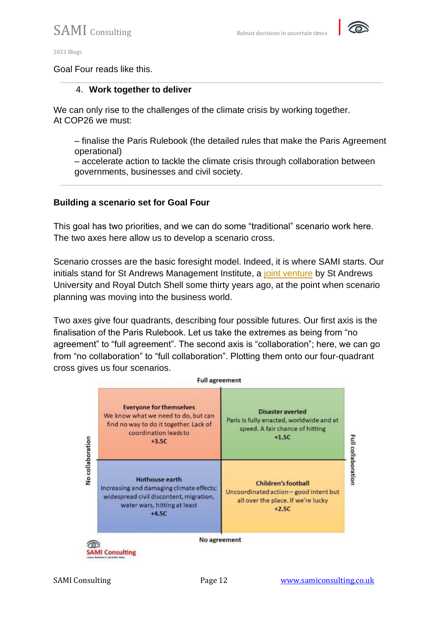

#### Goal Four reads like this.

#### 4. **Work together to deliver**

We can only rise to the challenges of the climate crisis by working together. At COP26 we must:

– finalise the Paris Rulebook (the detailed rules that make the Paris Agreement operational)

– accelerate action to tackle the climate crisis through collaboration between governments, businesses and civil society.

#### **Building a scenario set for Goal Four**

This goal has two priorities, and we can do some "traditional" scenario work here. The two axes here allow us to develop a scenario cross.

Scenario crosses are the basic foresight model. Indeed, it is where SAMI starts. Our initials stand for St Andrews Management Institute, a [joint venture](https://samiconsulting.co.uk/about-us/) by St Andrews University and Royal Dutch Shell some thirty years ago, at the point when scenario planning was moving into the business world.

Two axes give four quadrants, describing four possible futures. Our first axis is the finalisation of the Paris Rulebook. Let us take the extremes as being from "no agreement" to "full agreement". The second axis is "collaboration"; here, we can go from "no collaboration" to "full collaboration". Plotting them onto our four-quadrant cross gives us four scenarios.

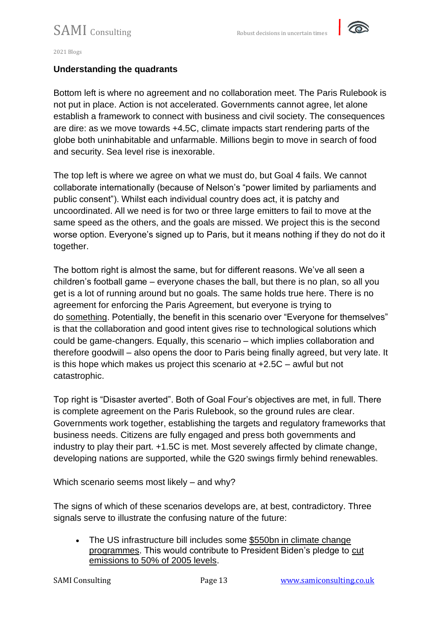

#### **Understanding the quadrants**

Bottom left is where no agreement and no collaboration meet. The Paris Rulebook is not put in place. Action is not accelerated. Governments cannot agree, let alone establish a framework to connect with business and civil society. The consequences are dire: as we move towards +4.5C, climate impacts start rendering parts of the globe both uninhabitable and unfarmable. Millions begin to move in search of food and security. Sea level rise is inexorable.

The top left is where we agree on what we must do, but Goal 4 fails. We cannot collaborate internationally (because of Nelson's "power limited by parliaments and public consent"). Whilst each individual country does act, it is patchy and uncoordinated. All we need is for two or three large emitters to fail to move at the same speed as the others, and the goals are missed. We project this is the second worse option. Everyone's signed up to Paris, but it means nothing if they do not do it together.

The bottom right is almost the same, but for different reasons. We've all seen a children's football game – everyone chases the ball, but there is no plan, so all you get is a lot of running around but no goals. The same holds true here. There is no agreement for enforcing the Paris Agreement, but everyone is trying to do something. Potentially, the benefit in this scenario over "Everyone for themselves" is that the collaboration and good intent gives rise to technological solutions which could be game-changers. Equally, this scenario – which implies collaboration and therefore goodwill – also opens the door to Paris being finally agreed, but very late. It is this hope which makes us project this scenario at +2.5C – awful but not catastrophic.

Top right is "Disaster averted". Both of Goal Four's objectives are met, in full. There is complete agreement on the Paris Rulebook, so the ground rules are clear. Governments work together, establishing the targets and regulatory frameworks that business needs. Citizens are fully engaged and press both governments and industry to play their part. +1.5C is met. Most severely affected by climate change, developing nations are supported, while the G20 swings firmly behind renewables.

Which scenario seems most likely – and why?

The signs of which of these scenarios develops are, at best, contradictory. Three signals serve to illustrate the confusing nature of the future:

• The US infrastructure bill includes some [\\$550bn in climate change](https://www.politico.com/news/2021/10/26/climate-spending-555-billion-517295)  [programmes.](https://www.politico.com/news/2021/10/26/climate-spending-555-billion-517295) This would contribute to President Biden's pledge to [cut](https://www.ft.com/content/32f5e2cd-4689-4434-9da0-d97d46673eaf)  [emissions to 50% of 2005 levels.](https://www.ft.com/content/32f5e2cd-4689-4434-9da0-d97d46673eaf)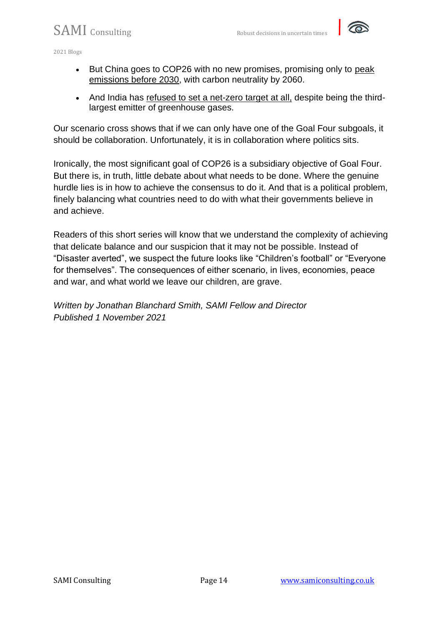2021 Blogs

- But China goes to COP26 with no new promises, promising only to [peak](https://www.axios.com/china-emissions-cop26-climate-summit-global-warming-383647ba-42f8-4a02-9009-64708c114ff5.html)  [emissions before 2030,](https://www.axios.com/china-emissions-cop26-climate-summit-global-warming-383647ba-42f8-4a02-9009-64708c114ff5.html) with carbon neutrality by 2060.
- And India has [refused to set a net-zero target at all,](https://www.axios.com/india-rejects-net-zero-carbon-emissions-target-cop26-7350e1a2-e74c-48e3-b877-7a2ca58e681a.html) despite being the thirdlargest emitter of greenhouse gases.

Our scenario cross shows that if we can only have one of the Goal Four subgoals, it should be collaboration. Unfortunately, it is in collaboration where politics sits.

Ironically, the most significant goal of COP26 is a subsidiary objective of Goal Four. But there is, in truth, little debate about what needs to be done. Where the genuine hurdle lies is in how to achieve the consensus to do it. And that is a political problem, finely balancing what countries need to do with what their governments believe in and achieve.

Readers of this short series will know that we understand the complexity of achieving that delicate balance and our suspicion that it may not be possible. Instead of "Disaster averted", we suspect the future looks like "Children's football" or "Everyone for themselves". The consequences of either scenario, in lives, economies, peace and war, and what world we leave our children, are grave.

*Written by Jonathan Blanchard Smith, SAMI Fellow and Director Published 1 November 2021*

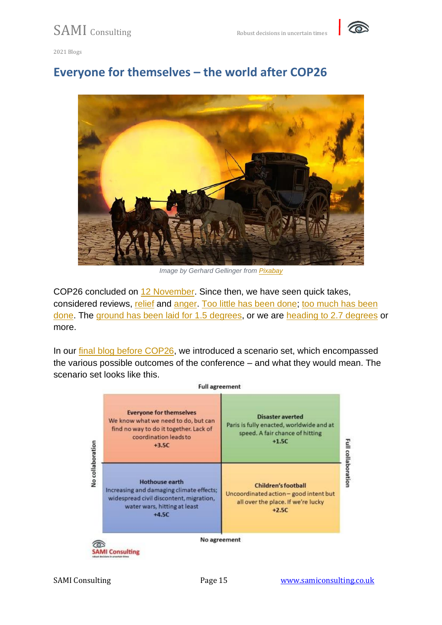

## **Everyone for themselves – the world after COP26**



*Image by Gerhard Gellinger from [Pixabay](https://pixabay.com/?utm_source=link-attribution&utm_medium=referral&utm_campaign=image&utm_content=820298)*

COP26 concluded on [12 November.](https://ukcop26.org/) Since then, we have seen quick takes, considered reviews, [relief](https://www.weforum.org/agenda/2021/11/cop26-outcomes-reasons-for-hope-progress/) and [anger.](https://reliefweb.int/report/world/cop-26-climate-conference-failed-south) [Too little has been done;](https://news.un.org/en/story/2021/11/1105792) [too much has been](https://www.aei.org/politics-and-public-opinion/its-time-to-cancel-the-climate-crisis/)  [done.](https://www.aei.org/politics-and-public-opinion/its-time-to-cancel-the-climate-crisis/) The [ground has been laid for 1.5 degrees,](https://twitter.com/COP26/status/1459610589433638919) or we are [heading to 2.7 degrees](https://climateactiontracker.org/press/Glasgows-one-degree-2030-credibility-gap-net-zeros-lip-service-to-climate-action/) or more.

In our [final blog before COP26,](https://samiconsulting.co.uk/cop26-goal-four-averting-disaster/) we introduced a scenario set, which encompassed the various possible outcomes of the conference – and what they would mean. The scenario set looks like this.

|                  | <b>Full agreement</b>                                                                                                                                   |                                                                                                                       |
|------------------|---------------------------------------------------------------------------------------------------------------------------------------------------------|-----------------------------------------------------------------------------------------------------------------------|
| No collaboration | <b>Everyone for themselves</b><br>We know what we need to do, but can<br>find no way to do it together. Lack of<br>coordination leads to<br>$+3.5C$     | <b>Disaster averted</b><br>Paris is fully enacted, worldwide and at<br>speed. A fair chance of hitting<br>$+1.5C$     |
|                  | <b>Hothouse earth</b><br>Increasing and damaging climate effects;<br>widespread civil discontent, migration,<br>water wars, hitting at least<br>$+4.5C$ | <b>Children's football</b><br>Uncoordinated action - good intent but<br>all over the place. If we're lucky<br>$+2.5C$ |
|                  | No agreement<br><b>SAMI Consulting</b>                                                                                                                  |                                                                                                                       |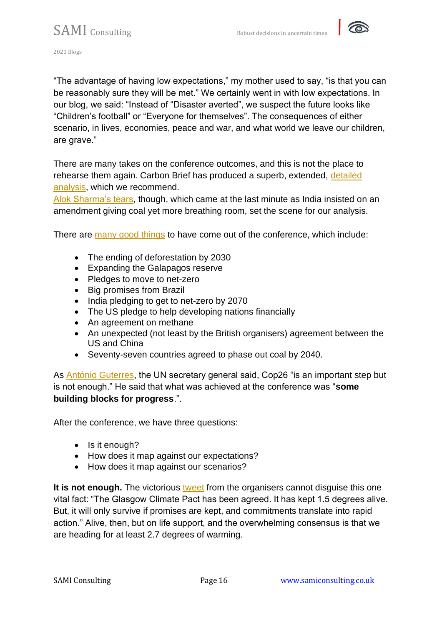

"The advantage of having low expectations," my mother used to say, "is that you can be reasonably sure they will be met." We certainly went in with low expectations. In our blog, we said: "Instead of "Disaster averted", we suspect the future looks like "Children's football" or "Everyone for themselves". The consequences of either scenario, in lives, economies, peace and war, and what world we leave our children, are grave."

There are many takes on the conference outcomes, and this is not the place to rehearse them again. Carbon Brief has produced a superb, extended, [detailed](https://www.carbonbrief.org/cop26-key-outcomes-agreed-at-the-un-climate-talks-in-glasgow)  [analysis,](https://www.carbonbrief.org/cop26-key-outcomes-agreed-at-the-un-climate-talks-in-glasgow) which we recommend.

[Alok Sharma's tears,](https://www.bbc.com/news/av/world-59276651) though, which came at the last minute as India insisted on an amendment giving coal yet more breathing room, set the scene for our analysis.

There are [many good things](https://www.inverse.com/science/cop26-silver-linings) to have come out of the conference, which include:

- The ending of deforestation by 2030
- Expanding the Galapagos reserve
- Pledges to move to net-zero
- Big promises from Brazil
- India pledging to get to net-zero by 2070
- The US pledge to help developing nations financially
- An agreement on methane
- An unexpected (not least by the British organisers) agreement between the US and China
- Seventy-seven countries agreed to phase out coal by 2040.

As [António Guterres,](https://www.un.org/sg/en) the UN secretary general said, Cop26 "is an important step but is not enough." He said that what was achieved at the conference was "**some building blocks for progress**.".

After the conference, we have three questions:

- Is it enough?
- How does it map against our expectations?
- How does it map against our scenarios?

**It is not enough.** The victorious [tweet](https://twitter.com/COP26/status/1459610589433638919) from the organisers cannot disguise this one vital fact: "The Glasgow Climate Pact has been agreed. It has kept 1.5 degrees alive. But, it will only survive if promises are kept, and commitments translate into rapid action." Alive, then, but on life support, and the overwhelming consensus is that we are heading for at least 2.7 degrees of warming.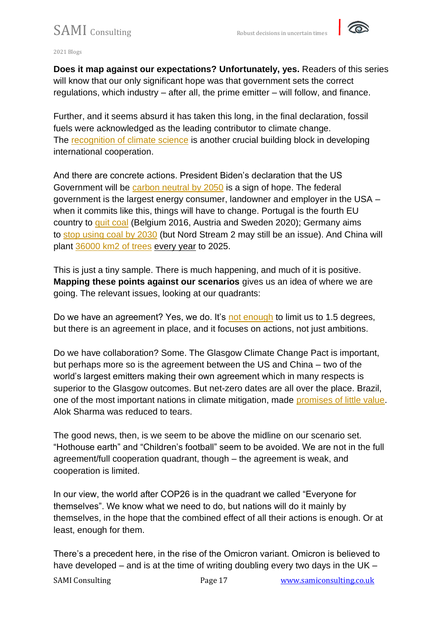

**Does it map against our expectations? Unfortunately, yes.** Readers of this series will know that our only significant hope was that government sets the correct regulations, which industry – after all, the prime emitter – will follow, and finance.

Further, and it seems absurd it has taken this long, in the final declaration, fossil fuels were acknowledged as the leading contributor to climate change. The [recognition of climate science](https://www.carbonbrief.org/guest-post-how-cop26-finally-recognised-the-latest-ipcc-climate-science) is another crucial building block in developing international cooperation.

And there are concrete actions. President Biden's declaration that the US Government will be [carbon neutral by 2050](https://www.theguardian.com/us-news/2021/dec/08/biden-signs-order-government-net-zero-emissions-2050) is a sign of hope. The federal government is the largest energy consumer, landowner and employer in the USA – when it commits like this, things will have to change. Portugal is the fourth EU country to [quit coal](https://apnews.com/article/business-environment-and-nature-europe-portugal-european-union-b09d32a0ee8c661f6932d79bda9d2d19) (Belgium 2016, Austria and Sweden 2020); Germany aims to [stop using coal by 2030](https://www.reuters.com/markets/commodities/german-coalition-commits-faster-decarbonisation-2021-11-24/) (but Nord Stream 2 may still be an issue). And China will plant [36000 km2 of trees](https://www.reuters.com/world/china/china-step-up-tree-planting-campaign-help-reach-net-zero-2021-08-20/) every year to 2025.

This is just a tiny sample. There is much happening, and much of it is positive. **Mapping these points against our scenarios** gives us an idea of where we are going. The relevant issues, looking at our quadrants:

Do we have an agreement? Yes, we do. It's [not enough](https://www.nature.com/articles/d41586-021-03431-4) to limit us to 1.5 degrees, but there is an agreement in place, and it focuses on actions, not just ambitions.

Do we have collaboration? Some. The Glasgow Climate Change Pact is important, but perhaps more so is the agreement between the US and China – two of the world's largest emitters making their own agreement which in many respects is superior to the Glasgow outcomes. But net-zero dates are all over the place. Brazil, one of the most important nations in climate mitigation, made [promises of little value.](https://www.theatlantic.com/international/archive/2021/11/the-real-reason-behind-bolsonaros-climate-promises/620666/) Alok Sharma was reduced to tears.

The good news, then, is we seem to be above the midline on our scenario set. "Hothouse earth" and "Children's football" seem to be avoided. We are not in the full agreement/full cooperation quadrant, though – the agreement is weak, and cooperation is limited.

In our view, the world after COP26 is in the quadrant we called "Everyone for themselves". We know what we need to do, but nations will do it mainly by themselves, in the hope that the combined effect of all their actions is enough. Or at least, enough for them.

There's a precedent here, in the rise of the Omicron variant. Omicron is believed to have developed – and is at the time of writing doubling every two days in the UK –